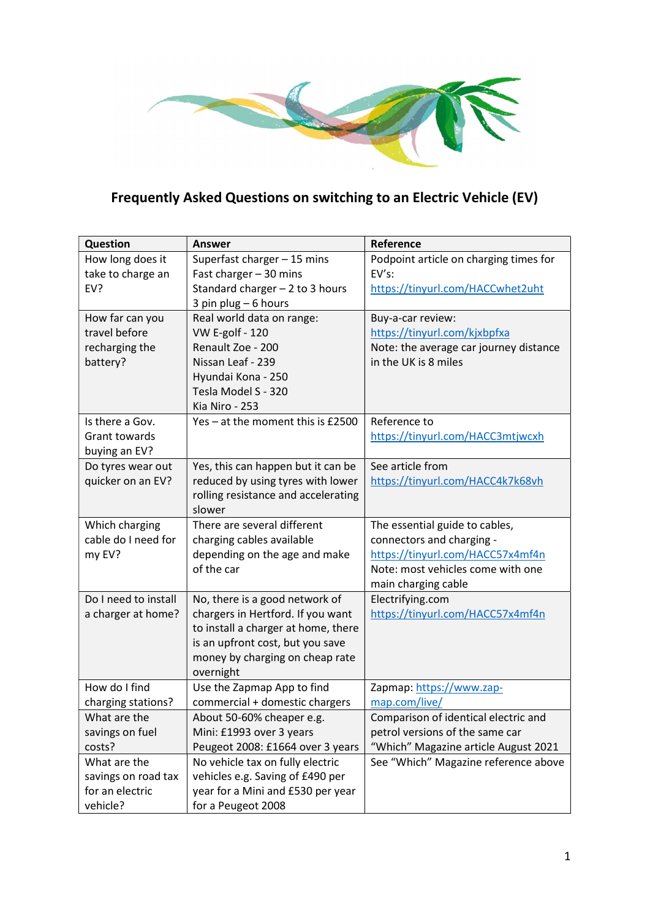

## Frequently Asked Questions on switching to an Electric Vehicle (EV)

| Question             | Answer                              | Reference                              |
|----------------------|-------------------------------------|----------------------------------------|
| How long does it     | Superfast charger - 15 mins         | Podpoint article on charging times for |
| take to charge an    | Fast charger - 30 mins              | $EV's$ :                               |
| EV?                  | Standard charger $-2$ to 3 hours    | https://tinyurl.com/HACCwhet2uht       |
|                      | 3 pin plug - 6 hours                |                                        |
| How far can you      | Real world data on range:           | Buy-a-car review:                      |
| travel before        | <b>VW E-golf - 120</b>              | https://tinyurl.com/kjxbpfxa           |
| recharging the       | Renault Zoe - 200                   | Note: the average car journey distance |
| battery?             | Nissan Leaf - 239                   | in the UK is 8 miles                   |
|                      | Hyundai Kona - 250                  |                                        |
|                      | Tesla Model S - 320                 |                                        |
|                      | Kia Niro - 253                      |                                        |
| Is there a Gov.      | Yes - at the moment this is £2500   | Reference to                           |
| <b>Grant towards</b> |                                     | https://tinyurl.com/HACC3mtjwcxh       |
| buying an EV?        |                                     |                                        |
| Do tyres wear out    | Yes, this can happen but it can be  | See article from                       |
| quicker on an EV?    | reduced by using tyres with lower   | https://tinyurl.com/HACC4k7k68vh       |
|                      | rolling resistance and accelerating |                                        |
|                      | slower                              |                                        |
| Which charging       | There are several different         | The essential guide to cables,         |
| cable do I need for  | charging cables available           | connectors and charging -              |
| my EV?               | depending on the age and make       | https://tinyurl.com/HACC57x4mf4n       |
|                      | of the car                          | Note: most vehicles come with one      |
|                      |                                     | main charging cable                    |
| Do I need to install | No, there is a good network of      | Electrifying.com                       |
| a charger at home?   | chargers in Hertford. If you want   | https://tinyurl.com/HACC57x4mf4n       |
|                      | to install a charger at home, there |                                        |
|                      | is an upfront cost, but you save    |                                        |
|                      | money by charging on cheap rate     |                                        |
|                      | overnight                           |                                        |
| How do I find        | Use the Zapmap App to find          | Zapmap: https://www.zap-               |
| charging stations?   | commercial + domestic chargers      | map.com/live/                          |
| What are the         | About 50-60% cheaper e.g.           | Comparison of identical electric and   |
| savings on fuel      | Mini: £1993 over 3 years            | petrol versions of the same car        |
| costs?               | Peugeot 2008: £1664 over 3 years    | "Which" Magazine article August 2021   |
| What are the         | No vehicle tax on fully electric    | See "Which" Magazine reference above   |
| savings on road tax  | vehicles e.g. Saving of £490 per    |                                        |
| for an electric      | year for a Mini and £530 per year   |                                        |
| vehicle?             | for a Peugeot 2008                  |                                        |